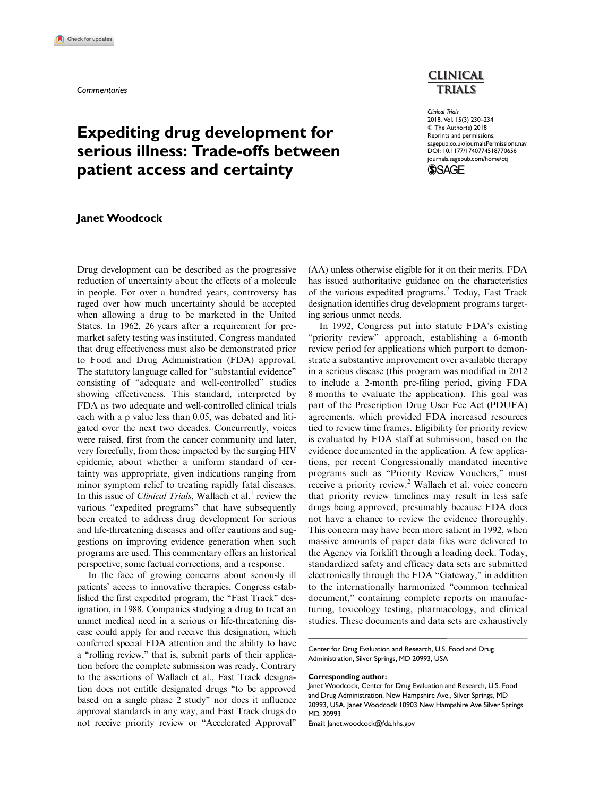# Expediting drug development for serious illness: Trade-offs between patient access and certainty

### Janet Woodcock

Drug development can be described as the progressive reduction of uncertainty about the effects of a molecule in people. For over a hundred years, controversy has raged over how much uncertainty should be accepted when allowing a drug to be marketed in the United States. In 1962, 26 years after a requirement for premarket safety testing was instituted, Congress mandated that drug effectiveness must also be demonstrated prior to Food and Drug Administration (FDA) approval. The statutory language called for "substantial evidence" consisting of ''adequate and well-controlled'' studies showing effectiveness. This standard, interpreted by FDA as two adequate and well-controlled clinical trials each with a p value less than 0.05, was debated and litigated over the next two decades. Concurrently, voices were raised, first from the cancer community and later, very forcefully, from those impacted by the surging HIV epidemic, about whether a uniform standard of certainty was appropriate, given indications ranging from minor symptom relief to treating rapidly fatal diseases. In this issue of *Clinical Trials*, Wallach et al.<sup>1</sup> review the various "expedited programs" that have subsequently been created to address drug development for serious and life-threatening diseases and offer cautions and suggestions on improving evidence generation when such programs are used. This commentary offers an historical perspective, some factual corrections, and a response.

In the face of growing concerns about seriously ill patients' access to innovative therapies, Congress established the first expedited program, the "Fast Track" designation, in 1988. Companies studying a drug to treat an unmet medical need in a serious or life-threatening disease could apply for and receive this designation, which conferred special FDA attention and the ability to have a "rolling review," that is, submit parts of their application before the complete submission was ready. Contrary to the assertions of Wallach et al., Fast Track designation does not entitle designated drugs ''to be approved based on a single phase 2 study'' nor does it influence approval standards in any way, and Fast Track drugs do not receive priority review or ''Accelerated Approval''

(AA) unless otherwise eligible for it on their merits. FDA has issued authoritative guidance on the characteristics of the various expedited programs.2 Today, Fast Track designation identifies drug development programs targeting serious unmet needs.

In 1992, Congress put into statute FDA's existing "priority review" approach, establishing a 6-month review period for applications which purport to demonstrate a substantive improvement over available therapy in a serious disease (this program was modified in 2012 to include a 2-month pre-filing period, giving FDA 8 months to evaluate the application). This goal was part of the Prescription Drug User Fee Act (PDUFA) agreements, which provided FDA increased resources tied to review time frames. Eligibility for priority review is evaluated by FDA staff at submission, based on the evidence documented in the application. A few applications, per recent Congressionally mandated incentive programs such as ''Priority Review Vouchers,'' must receive a priority review.<sup>2</sup> Wallach et al. voice concern that priority review timelines may result in less safe drugs being approved, presumably because FDA does not have a chance to review the evidence thoroughly. This concern may have been more salient in 1992, when massive amounts of paper data files were delivered to the Agency via forklift through a loading dock. Today, standardized safety and efficacy data sets are submitted electronically through the FDA "Gateway," in addition to the internationally harmonized ''common technical document," containing complete reports on manufacturing, toxicology testing, pharmacology, and clinical studies. These documents and data sets are exhaustively

Center for Drug Evaluation and Research, U.S. Food and Drug Administration, Silver Springs, MD 20993, USA

Corresponding author:

Email: Janet.woodcock@fda.hhs.gov

## **CLINICAL TRIALS**

Clinical Trials 2018, Vol. 15(3) 230–234  $© The Author(s) 2018$ Reprints and permissions: [sagepub.co.uk/journalsPermissions.nav](https://uk.sagepub.com/en-gb/journals-permissions) [DOI: 10.1177/1740774518770656](https://doi.dox.org/10.1177/1740774518770656) <journals.sagepub.com/home/ctj> **SSAGE** 

Janet Woodcock, Center for Drug Evaluation and Research, U.S. Food and Drug Administration, New Hampshire Ave., Silver Springs, MD 20993, USA. Janet Woodcock 10903 New Hampshire Ave Silver Springs MD. 20993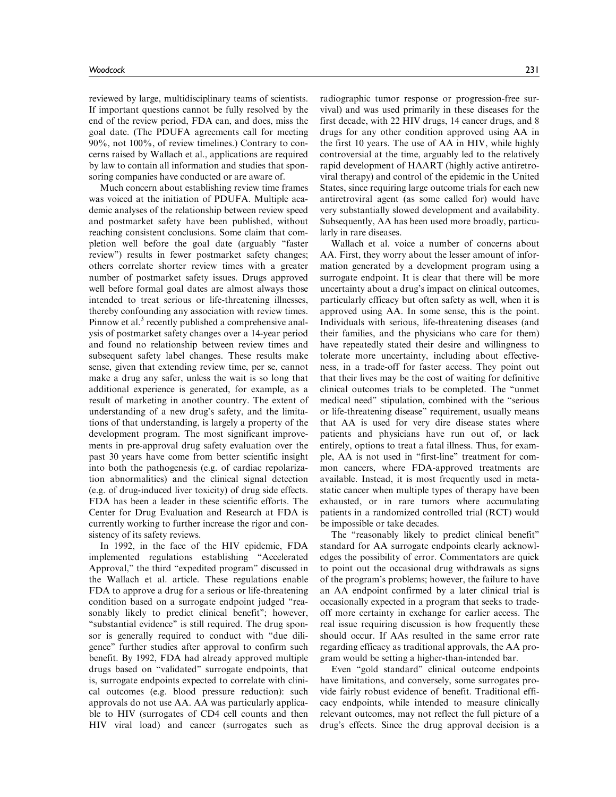reviewed by large, multidisciplinary teams of scientists. If important questions cannot be fully resolved by the end of the review period, FDA can, and does, miss the goal date. (The PDUFA agreements call for meeting 90%, not 100%, of review timelines.) Contrary to concerns raised by Wallach et al., applications are required by law to contain all information and studies that sponsoring companies have conducted or are aware of.

Much concern about establishing review time frames was voiced at the initiation of PDUFA. Multiple academic analyses of the relationship between review speed and postmarket safety have been published, without reaching consistent conclusions. Some claim that completion well before the goal date (arguably ''faster review'') results in fewer postmarket safety changes; others correlate shorter review times with a greater number of postmarket safety issues. Drugs approved well before formal goal dates are almost always those intended to treat serious or life-threatening illnesses, thereby confounding any association with review times. Pinnow et al.<sup>3</sup> recently published a comprehensive analysis of postmarket safety changes over a 14-year period and found no relationship between review times and subsequent safety label changes. These results make sense, given that extending review time, per se, cannot make a drug any safer, unless the wait is so long that additional experience is generated, for example, as a result of marketing in another country. The extent of understanding of a new drug's safety, and the limitations of that understanding, is largely a property of the development program. The most significant improvements in pre-approval drug safety evaluation over the past 30 years have come from better scientific insight into both the pathogenesis (e.g. of cardiac repolarization abnormalities) and the clinical signal detection (e.g. of drug-induced liver toxicity) of drug side effects. FDA has been a leader in these scientific efforts. The Center for Drug Evaluation and Research at FDA is currently working to further increase the rigor and consistency of its safety reviews.

In 1992, in the face of the HIV epidemic, FDA implemented regulations establishing ''Accelerated Approval,'' the third ''expedited program'' discussed in the Wallach et al. article. These regulations enable FDA to approve a drug for a serious or life-threatening condition based on a surrogate endpoint judged ''reasonably likely to predict clinical benefit''; however, ''substantial evidence'' is still required. The drug sponsor is generally required to conduct with ''due diligence'' further studies after approval to confirm such benefit. By 1992, FDA had already approved multiple drugs based on ''validated'' surrogate endpoints, that is, surrogate endpoints expected to correlate with clinical outcomes (e.g. blood pressure reduction): such approvals do not use AA. AA was particularly applicable to HIV (surrogates of CD4 cell counts and then HIV viral load) and cancer (surrogates such as

radiographic tumor response or progression-free survival) and was used primarily in these diseases for the first decade, with 22 HIV drugs, 14 cancer drugs, and 8 drugs for any other condition approved using AA in the first 10 years. The use of AA in HIV, while highly controversial at the time, arguably led to the relatively rapid development of HAART (highly active antiretroviral therapy) and control of the epidemic in the United States, since requiring large outcome trials for each new antiretroviral agent (as some called for) would have very substantially slowed development and availability. Subsequently, AA has been used more broadly, particularly in rare diseases.

Wallach et al. voice a number of concerns about AA. First, they worry about the lesser amount of information generated by a development program using a surrogate endpoint. It is clear that there will be more uncertainty about a drug's impact on clinical outcomes, particularly efficacy but often safety as well, when it is approved using AA. In some sense, this is the point. Individuals with serious, life-threatening diseases (and their families, and the physicians who care for them) have repeatedly stated their desire and willingness to tolerate more uncertainty, including about effectiveness, in a trade-off for faster access. They point out that their lives may be the cost of waiting for definitive clinical outcomes trials to be completed. The ''unmet medical need'' stipulation, combined with the ''serious or life-threatening disease'' requirement, usually means that AA is used for very dire disease states where patients and physicians have run out of, or lack entirely, options to treat a fatal illness. Thus, for example, AA is not used in ''first-line'' treatment for common cancers, where FDA-approved treatments are available. Instead, it is most frequently used in metastatic cancer when multiple types of therapy have been exhausted, or in rare tumors where accumulating patients in a randomized controlled trial (RCT) would be impossible or take decades.

The "reasonably likely to predict clinical benefit" standard for AA surrogate endpoints clearly acknowledges the possibility of error. Commentators are quick to point out the occasional drug withdrawals as signs of the program's problems; however, the failure to have an AA endpoint confirmed by a later clinical trial is occasionally expected in a program that seeks to tradeoff more certainty in exchange for earlier access. The real issue requiring discussion is how frequently these should occur. If AAs resulted in the same error rate regarding efficacy as traditional approvals, the AA program would be setting a higher-than-intended bar.

Even "gold standard" clinical outcome endpoints have limitations, and conversely, some surrogates provide fairly robust evidence of benefit. Traditional efficacy endpoints, while intended to measure clinically relevant outcomes, may not reflect the full picture of a drug's effects. Since the drug approval decision is a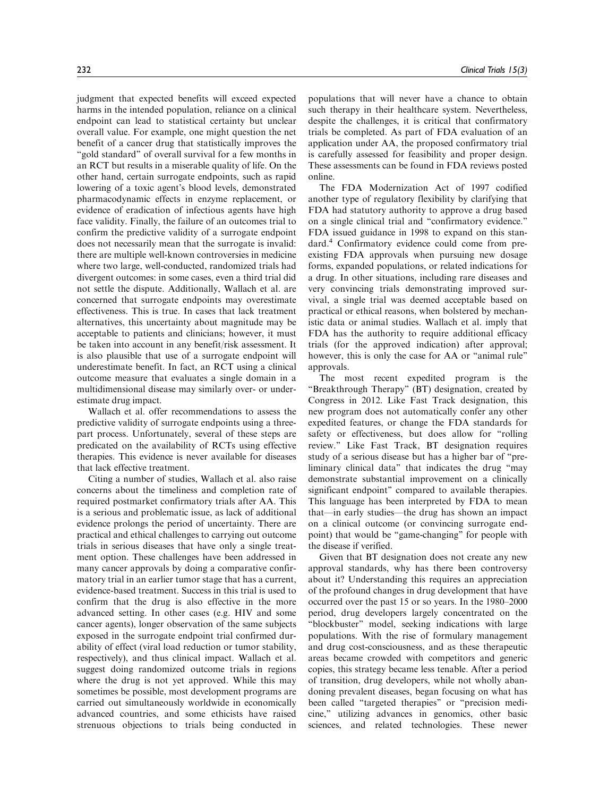judgment that expected benefits will exceed expected harms in the intended population, reliance on a clinical endpoint can lead to statistical certainty but unclear overall value. For example, one might question the net benefit of a cancer drug that statistically improves the ''gold standard'' of overall survival for a few months in an RCT but results in a miserable quality of life. On the other hand, certain surrogate endpoints, such as rapid lowering of a toxic agent's blood levels, demonstrated pharmacodynamic effects in enzyme replacement, or evidence of eradication of infectious agents have high face validity. Finally, the failure of an outcomes trial to confirm the predictive validity of a surrogate endpoint does not necessarily mean that the surrogate is invalid: there are multiple well-known controversies in medicine where two large, well-conducted, randomized trials had divergent outcomes: in some cases, even a third trial did not settle the dispute. Additionally, Wallach et al. are concerned that surrogate endpoints may overestimate effectiveness. This is true. In cases that lack treatment alternatives, this uncertainty about magnitude may be acceptable to patients and clinicians; however, it must be taken into account in any benefit/risk assessment. It is also plausible that use of a surrogate endpoint will underestimate benefit. In fact, an RCT using a clinical outcome measure that evaluates a single domain in a multidimensional disease may similarly over- or underestimate drug impact.

Wallach et al. offer recommendations to assess the predictive validity of surrogate endpoints using a threepart process. Unfortunately, several of these steps are predicated on the availability of RCTs using effective therapies. This evidence is never available for diseases that lack effective treatment.

Citing a number of studies, Wallach et al. also raise concerns about the timeliness and completion rate of required postmarket confirmatory trials after AA. This is a serious and problematic issue, as lack of additional evidence prolongs the period of uncertainty. There are practical and ethical challenges to carrying out outcome trials in serious diseases that have only a single treatment option. These challenges have been addressed in many cancer approvals by doing a comparative confirmatory trial in an earlier tumor stage that has a current, evidence-based treatment. Success in this trial is used to confirm that the drug is also effective in the more advanced setting. In other cases (e.g. HIV and some cancer agents), longer observation of the same subjects exposed in the surrogate endpoint trial confirmed durability of effect (viral load reduction or tumor stability, respectively), and thus clinical impact. Wallach et al. suggest doing randomized outcome trials in regions where the drug is not yet approved. While this may sometimes be possible, most development programs are carried out simultaneously worldwide in economically advanced countries, and some ethicists have raised strenuous objections to trials being conducted in

populations that will never have a chance to obtain such therapy in their healthcare system. Nevertheless, despite the challenges, it is critical that confirmatory trials be completed. As part of FDA evaluation of an application under AA, the proposed confirmatory trial is carefully assessed for feasibility and proper design. These assessments can be found in FDA reviews posted online.

The FDA Modernization Act of 1997 codified another type of regulatory flexibility by clarifying that FDA had statutory authority to approve a drug based on a single clinical trial and ''confirmatory evidence.'' FDA issued guidance in 1998 to expand on this standard.4 Confirmatory evidence could come from preexisting FDA approvals when pursuing new dosage forms, expanded populations, or related indications for a drug. In other situations, including rare diseases and very convincing trials demonstrating improved survival, a single trial was deemed acceptable based on practical or ethical reasons, when bolstered by mechanistic data or animal studies. Wallach et al. imply that FDA has the authority to require additional efficacy trials (for the approved indication) after approval; however, this is only the case for AA or "animal rule" approvals.

The most recent expedited program is the "Breakthrough Therapy" (BT) designation, created by Congress in 2012. Like Fast Track designation, this new program does not automatically confer any other expedited features, or change the FDA standards for safety or effectiveness, but does allow for "rolling review.'' Like Fast Track, BT designation requires study of a serious disease but has a higher bar of ''preliminary clinical data'' that indicates the drug ''may demonstrate substantial improvement on a clinically significant endpoint'' compared to available therapies. This language has been interpreted by FDA to mean that—in early studies—the drug has shown an impact on a clinical outcome (or convincing surrogate endpoint) that would be ''game-changing'' for people with the disease if verified.

Given that BT designation does not create any new approval standards, why has there been controversy about it? Understanding this requires an appreciation of the profound changes in drug development that have occurred over the past 15 or so years. In the 1980–2000 period, drug developers largely concentrated on the ''blockbuster'' model, seeking indications with large populations. With the rise of formulary management and drug cost-consciousness, and as these therapeutic areas became crowded with competitors and generic copies, this strategy became less tenable. After a period of transition, drug developers, while not wholly abandoning prevalent diseases, began focusing on what has been called ''targeted therapies'' or ''precision medicine,'' utilizing advances in genomics, other basic sciences, and related technologies. These newer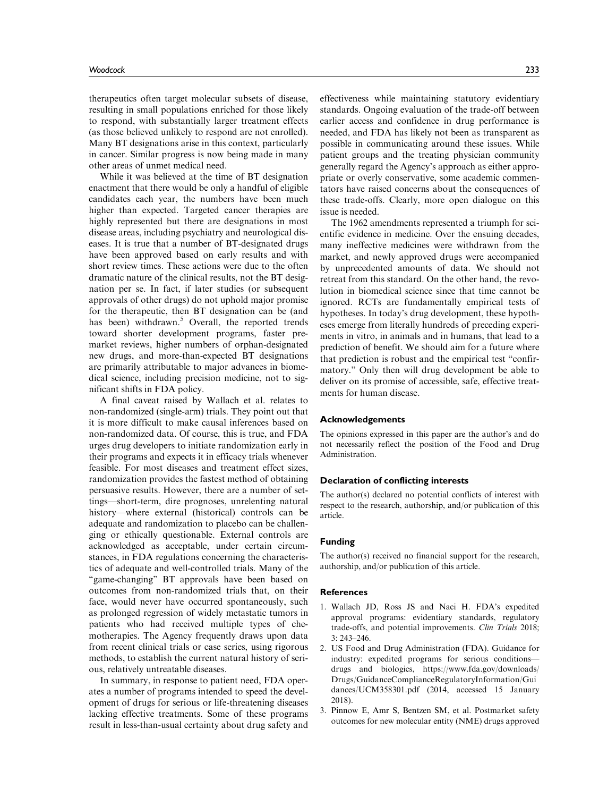therapeutics often target molecular subsets of disease, resulting in small populations enriched for those likely to respond, with substantially larger treatment effects (as those believed unlikely to respond are not enrolled). Many BT designations arise in this context, particularly in cancer. Similar progress is now being made in many other areas of unmet medical need.

While it was believed at the time of BT designation enactment that there would be only a handful of eligible candidates each year, the numbers have been much higher than expected. Targeted cancer therapies are highly represented but there are designations in most disease areas, including psychiatry and neurological diseases. It is true that a number of BT-designated drugs have been approved based on early results and with short review times. These actions were due to the often dramatic nature of the clinical results, not the BT designation per se. In fact, if later studies (or subsequent approvals of other drugs) do not uphold major promise for the therapeutic, then BT designation can be (and has been) withdrawn.<sup>5</sup> Overall, the reported trends toward shorter development programs, faster premarket reviews, higher numbers of orphan-designated new drugs, and more-than-expected BT designations are primarily attributable to major advances in biomedical science, including precision medicine, not to significant shifts in FDA policy.

A final caveat raised by Wallach et al. relates to non-randomized (single-arm) trials. They point out that it is more difficult to make causal inferences based on non-randomized data. Of course, this is true, and FDA urges drug developers to initiate randomization early in their programs and expects it in efficacy trials whenever feasible. For most diseases and treatment effect sizes, randomization provides the fastest method of obtaining persuasive results. However, there are a number of settings—short-term, dire prognoses, unrelenting natural history—where external (historical) controls can be adequate and randomization to placebo can be challenging or ethically questionable. External controls are acknowledged as acceptable, under certain circumstances, in FDA regulations concerning the characteristics of adequate and well-controlled trials. Many of the "game-changing" BT approvals have been based on outcomes from non-randomized trials that, on their face, would never have occurred spontaneously, such as prolonged regression of widely metastatic tumors in patients who had received multiple types of chemotherapies. The Agency frequently draws upon data from recent clinical trials or case series, using rigorous methods, to establish the current natural history of serious, relatively untreatable diseases.

In summary, in response to patient need, FDA operates a number of programs intended to speed the development of drugs for serious or life-threatening diseases lacking effective treatments. Some of these programs result in less-than-usual certainty about drug safety and

effectiveness while maintaining statutory evidentiary standards. Ongoing evaluation of the trade-off between earlier access and confidence in drug performance is needed, and FDA has likely not been as transparent as possible in communicating around these issues. While patient groups and the treating physician community generally regard the Agency's approach as either appropriate or overly conservative, some academic commentators have raised concerns about the consequences of these trade-offs. Clearly, more open dialogue on this issue is needed.

The 1962 amendments represented a triumph for scientific evidence in medicine. Over the ensuing decades, many ineffective medicines were withdrawn from the market, and newly approved drugs were accompanied by unprecedented amounts of data. We should not retreat from this standard. On the other hand, the revolution in biomedical science since that time cannot be ignored. RCTs are fundamentally empirical tests of hypotheses. In today's drug development, these hypotheses emerge from literally hundreds of preceding experiments in vitro, in animals and in humans, that lead to a prediction of benefit. We should aim for a future where that prediction is robust and the empirical test ''confirmatory.'' Only then will drug development be able to deliver on its promise of accessible, safe, effective treatments for human disease.

#### Acknowledgements

The opinions expressed in this paper are the author's and do not necessarily reflect the position of the Food and Drug Administration.

#### Declaration of conflicting interests

The author(s) declared no potential conflicts of interest with respect to the research, authorship, and/or publication of this article.

#### Funding

The author(s) received no financial support for the research, authorship, and/or publication of this article.

#### References

- 1. Wallach JD, Ross JS and Naci H. FDA's expedited approval programs: evidentiary standards, regulatory trade-offs, and potential improvements. Clin Trials 2018; 3: 243–246.
- 2. US Food and Drug Administration (FDA). Guidance for industry: expedited programs for serious conditions drugs and biologics, https://www.fda.gov/downloads/ Drugs/GuidanceComplianceRegulatoryInformation/Gui dances/UCM358301.pdf (2014, accessed 15 January 2018).
- 3. Pinnow E, Amr S, Bentzen SM, et al. Postmarket safety outcomes for new molecular entity (NME) drugs approved